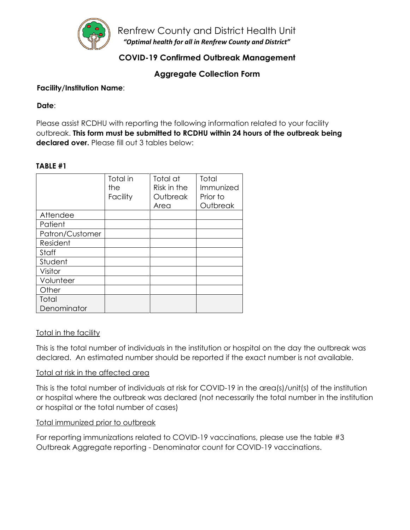

Renfrew County and District Health Unit *"Optimal health for all in Renfrew County and District"*

# **COVID-19 Confirmed Outbreak Management**

**Aggregate Collection Form**

### **Facility/Institution Name**:

### **Date**:

Please assist RCDHU with reporting the following information related to your facility outbreak. **This form must be submitted to RCDHU within 24 hours of the outbreak being declared over.** Please fill out 3 tables below:

### **TABLE #1**

|                 | Total in<br>the<br>Facility | Total at<br>Risk in the<br>Outbreak | Total<br>Immunized<br>Prior to |
|-----------------|-----------------------------|-------------------------------------|--------------------------------|
|                 |                             | Area                                | Outbreak                       |
| Attendee        |                             |                                     |                                |
| Patient         |                             |                                     |                                |
| Patron/Customer |                             |                                     |                                |
| Resident        |                             |                                     |                                |
| Staff           |                             |                                     |                                |
| Student         |                             |                                     |                                |
| Visitor         |                             |                                     |                                |
| Volunteer       |                             |                                     |                                |
| Other           |                             |                                     |                                |
| Total           |                             |                                     |                                |
| Denominator     |                             |                                     |                                |

### Total in the facility

This is the total number of individuals in the institution or hospital on the day the outbreak was declared. An estimated number should be reported if the exact number is not available.

### Total at risk in the affected area

This is the total number of individuals at risk for COVID-19 in the area(s)/unit(s) of the institution or hospital where the outbreak was declared (not necessarily the total number in the institution or hospital or the total number of cases)

### Total immunized prior to outbreak

For reporting immunizations related to COVID-19 vaccinations, please use the table #3 Outbreak Aggregate reporting - Denominator count for COVID-19 vaccinations.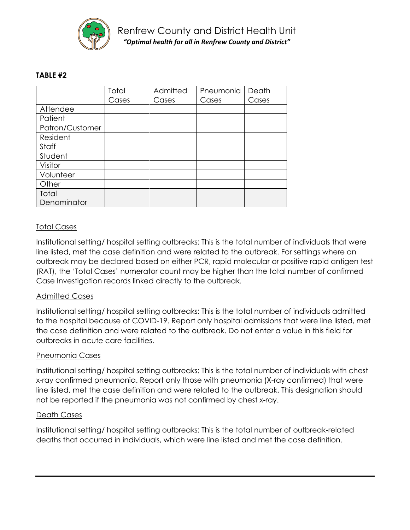

### **TABLE #2**

|                 | Total | Admitted | Pneumonia | Death |
|-----------------|-------|----------|-----------|-------|
|                 | Cases | Cases    | Cases     | Cases |
| Attendee        |       |          |           |       |
| Patient         |       |          |           |       |
| Patron/Customer |       |          |           |       |
| Resident        |       |          |           |       |
| Staff           |       |          |           |       |
| Student         |       |          |           |       |
| Visitor         |       |          |           |       |
| Volunteer       |       |          |           |       |
| Other           |       |          |           |       |
| Total           |       |          |           |       |
| Denominator     |       |          |           |       |

### Total Cases

Institutional setting/ hospital setting outbreaks: This is the total number of individuals that were line listed, met the case definition and were related to the outbreak. For settings where an outbreak may be declared based on either PCR, rapid molecular or positive rapid antigen test (RAT), the 'Total Cases' numerator count may be higher than the total number of confirmed Case Investigation records linked directly to the outbreak.

### Admitted Cases

Institutional setting/ hospital setting outbreaks: This is the total number of individuals admitted to the hospital because of COVID-19. Report only hospital admissions that were line listed, met the case definition and were related to the outbreak. Do not enter a value in this field for outbreaks in acute care facilities.

### Pneumonia Cases

Institutional setting/ hospital setting outbreaks: This is the total number of individuals with chest x-ray confirmed pneumonia. Report only those with pneumonia (X-ray confirmed) that were line listed, met the case definition and were related to the outbreak. This designation should not be reported if the pneumonia was not confirmed by chest x-ray.

#### Death Cases

Institutional setting/ hospital setting outbreaks: This is the total number of outbreak-related deaths that occurred in individuals, which were line listed and met the case definition.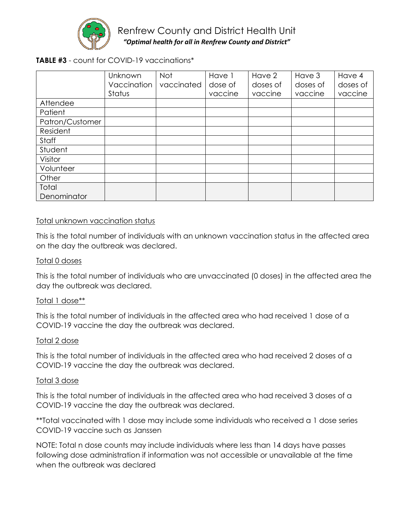

# Renfrew County and District Health Unit *"Optimal health for all in Renfrew County and District"*

## **TABLE #3** - count for COVID-19 vaccinations\*

|                 | Unknown     | Not        | Have 1  | Have 2   | Have 3   | Have 4   |
|-----------------|-------------|------------|---------|----------|----------|----------|
|                 | Vaccination | vaccinated | dose of | doses of | doses of | doses of |
|                 | Status      |            | vaccine | vaccine  | vaccine  | vaccine  |
| Attendee        |             |            |         |          |          |          |
| Patient         |             |            |         |          |          |          |
| Patron/Customer |             |            |         |          |          |          |
| Resident        |             |            |         |          |          |          |
| Staff           |             |            |         |          |          |          |
| Student         |             |            |         |          |          |          |
| Visitor         |             |            |         |          |          |          |
| Volunteer       |             |            |         |          |          |          |
| Other           |             |            |         |          |          |          |
| Total           |             |            |         |          |          |          |
| Denominator     |             |            |         |          |          |          |

#### Total unknown vaccination status

This is the total number of individuals with an unknown vaccination status in the affected area on the day the outbreak was declared.

#### Total 0 doses

This is the total number of individuals who are unvaccinated (0 doses) in the affected area the day the outbreak was declared.

#### Total 1 dose\*\*

This is the total number of individuals in the affected area who had received 1 dose of a COVID-19 vaccine the day the outbreak was declared.

#### Total 2 dose

This is the total number of individuals in the affected area who had received 2 doses of a COVID-19 vaccine the day the outbreak was declared.

#### Total 3 dose

This is the total number of individuals in the affected area who had received 3 doses of a COVID-19 vaccine the day the outbreak was declared.

\*\*Total vaccinated with 1 dose may include some individuals who received a 1 dose series COVID-19 vaccine such as Janssen

NOTE: Total n dose counts may include individuals where less than 14 days have passes following dose administration if information was not accessible or unavailable at the time when the outbreak was declared